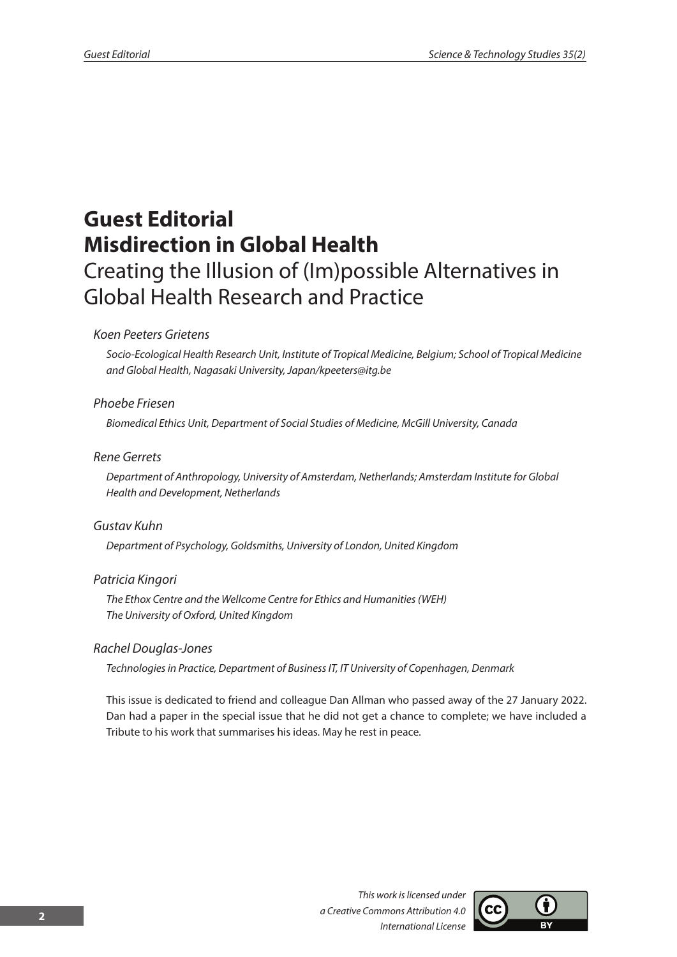# **Guest Editorial Misdirection in Global Health** Creating the Illusion of (Im)possible Alternatives in Global Health Research and Practice

### *Koen Peeters Grietens*

*Socio-Ecological Health Research Unit, Institute of Tropical Medicine, Belgium; School of Tropical Medicine and Global Health, Nagasaki University, Japan/kpeeters@itg.be*

# *Phoebe Friesen*

*Biomedical Ethics Unit, Department of Social Studies of Medicine, McGill University, Canada*

### *Rene Gerrets*

*Department of Anthropology, University of Amsterdam, Netherlands; Amsterdam Institute for Global Health and Development, Netherlands*

#### *Gustav Kuhn*

*Department of Psychology, Goldsmiths, University of London, United Kingdom* 

# *Patricia Kingori*

*The Ethox Centre and the Wellcome Centre for Ethics and Humanities (WEH) The University of Oxford, United Kingdom*

#### *Rachel Douglas-Jones*

*Technologies in Practice, Department of Business IT, IT University of Copenhagen, Denmark*

This issue is dedicated to friend and colleague Dan Allman who passed away of the 27 January 2022. Dan had a paper in the special issue that he did not get a chance to complete; we have included a Tribute to his work that summarises his ideas. May he rest in peace.

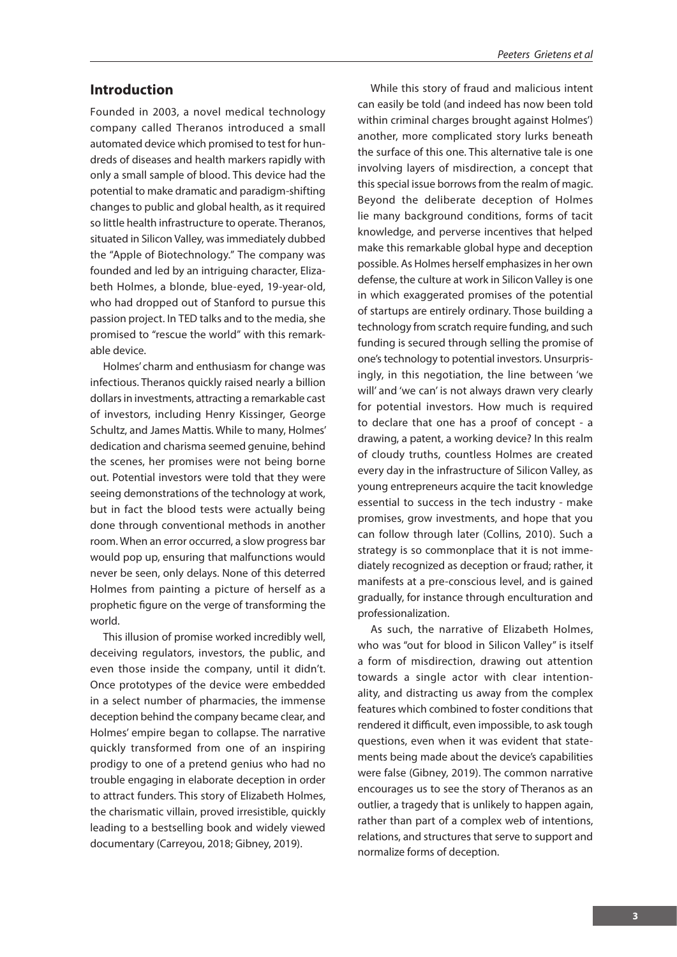# **Introduction**

Founded in 2003, a novel medical technology company called Theranos introduced a small automated device which promised to test for hundreds of diseases and health markers rapidly with only a small sample of blood. This device had the potential to make dramatic and paradigm-shifting changes to public and global health, as it required so little health infrastructure to operate. Theranos, situated in Silicon Valley, was immediately dubbed the "Apple of Biotechnology." The company was founded and led by an intriguing character, Elizabeth Holmes, a blonde, blue-eyed, 19-year-old, who had dropped out of Stanford to pursue this passion project. In TED talks and to the media, she promised to "rescue the world" with this remarkable device.

Holmes' charm and enthusiasm for change was infectious. Theranos quickly raised nearly a billion dollars in investments, attracting a remarkable cast of investors, including Henry Kissinger, George Schultz, and James Mattis. While to many, Holmes' dedication and charisma seemed genuine, behind the scenes, her promises were not being borne out. Potential investors were told that they were seeing demonstrations of the technology at work, but in fact the blood tests were actually being done through conventional methods in another room. When an error occurred, a slow progress bar would pop up, ensuring that malfunctions would never be seen, only delays. None of this deterred Holmes from painting a picture of herself as a prophetic figure on the verge of transforming the world.

This illusion of promise worked incredibly well, deceiving regulators, investors, the public, and even those inside the company, until it didn't. Once prototypes of the device were embedded in a select number of pharmacies, the immense deception behind the company became clear, and Holmes' empire began to collapse. The narrative quickly transformed from one of an inspiring prodigy to one of a pretend genius who had no trouble engaging in elaborate deception in order to attract funders. This story of Elizabeth Holmes, the charismatic villain, proved irresistible, quickly leading to a bestselling book and widely viewed documentary (Carreyou, 2018; Gibney, 2019).

While this story of fraud and malicious intent can easily be told (and indeed has now been told within criminal charges brought against Holmes') another, more complicated story lurks beneath the surface of this one. This alternative tale is one involving layers of misdirection, a concept that this special issue borrows from the realm of magic. Beyond the deliberate deception of Holmes lie many background conditions, forms of tacit knowledge, and perverse incentives that helped make this remarkable global hype and deception possible. As Holmes herself emphasizes in her own defense, the culture at work in Silicon Valley is one in which exaggerated promises of the potential of startups are entirely ordinary. Those building a technology from scratch require funding, and such funding is secured through selling the promise of one's technology to potential investors. Unsurprisingly, in this negotiation, the line between 'we will' and 'we can' is not always drawn very clearly for potential investors. How much is required to declare that one has a proof of concept - a drawing, a patent, a working device? In this realm of cloudy truths, countless Holmes are created every day in the infrastructure of Silicon Valley, as young entrepreneurs acquire the tacit knowledge essential to success in the tech industry - make promises, grow investments, and hope that you can follow through later (Collins, 2010). Such a strategy is so commonplace that it is not immediately recognized as deception or fraud; rather, it manifests at a pre-conscious level, and is gained gradually, for instance through enculturation and professionalization.

As such, the narrative of Elizabeth Holmes, who was "out for blood in Silicon Valley" is itself a form of misdirection, drawing out attention towards a single actor with clear intentionality, and distracting us away from the complex features which combined to foster conditions that rendered it difficult, even impossible, to ask tough questions, even when it was evident that statements being made about the device's capabilities were false (Gibney, 2019). The common narrative encourages us to see the story of Theranos as an outlier, a tragedy that is unlikely to happen again, rather than part of a complex web of intentions, relations, and structures that serve to support and normalize forms of deception.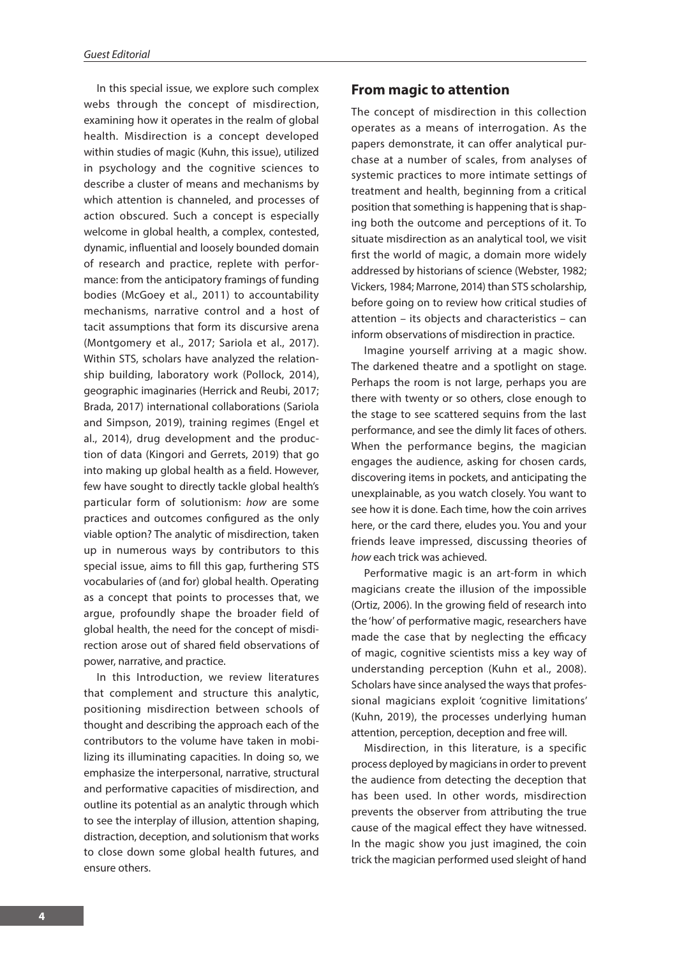In this special issue, we explore such complex webs through the concept of misdirection, examining how it operates in the realm of global health. Misdirection is a concept developed within studies of magic (Kuhn, this issue), utilized in psychology and the cognitive sciences to describe a cluster of means and mechanisms by which attention is channeled, and processes of action obscured. Such a concept is especially welcome in global health, a complex, contested, dynamic, influential and loosely bounded domain of research and practice, replete with performance: from the anticipatory framings of funding bodies (McGoey et al., 2011) to accountability mechanisms, narrative control and a host of tacit assumptions that form its discursive arena (Montgomery et al., 2017; Sariola et al., 2017). Within STS, scholars have analyzed the relationship building, laboratory work (Pollock, 2014), geographic imaginaries (Herrick and Reubi, 2017; Brada, 2017) international collaborations (Sariola and Simpson, 2019), training regimes (Engel et al., 2014), drug development and the production of data (Kingori and Gerrets, 2019) that go into making up global health as a field. However, few have sought to directly tackle global health's particular form of solutionism: *how* are some practices and outcomes configured as the only viable option? The analytic of misdirection, taken up in numerous ways by contributors to this special issue, aims to fill this gap, furthering STS vocabularies of (and for) global health. Operating as a concept that points to processes that, we argue, profoundly shape the broader field of global health, the need for the concept of misdirection arose out of shared field observations of power, narrative, and practice.

In this Introduction, we review literatures that complement and structure this analytic, positioning misdirection between schools of thought and describing the approach each of the contributors to the volume have taken in mobilizing its illuminating capacities. In doing so, we emphasize the interpersonal, narrative, structural and performative capacities of misdirection, and outline its potential as an analytic through which to see the interplay of illusion, attention shaping, distraction, deception, and solutionism that works to close down some global health futures, and ensure others.

## **From magic to attention**

The concept of misdirection in this collection operates as a means of interrogation. As the papers demonstrate, it can offer analytical purchase at a number of scales, from analyses of systemic practices to more intimate settings of treatment and health, beginning from a critical position that something is happening that is shaping both the outcome and perceptions of it. To situate misdirection as an analytical tool, we visit first the world of magic, a domain more widely addressed by historians of science (Webster, 1982; Vickers, 1984; Marrone, 2014) than STS scholarship, before going on to review how critical studies of attention – its objects and characteristics – can inform observations of misdirection in practice.

Imagine yourself arriving at a magic show. The darkened theatre and a spotlight on stage. Perhaps the room is not large, perhaps you are there with twenty or so others, close enough to the stage to see scattered sequins from the last performance, and see the dimly lit faces of others. When the performance begins, the magician engages the audience, asking for chosen cards, discovering items in pockets, and anticipating the unexplainable, as you watch closely. You want to see how it is done. Each time, how the coin arrives here, or the card there, eludes you. You and your friends leave impressed, discussing theories of *how* each trick was achieved.

Performative magic is an art-form in which magicians create the illusion of the impossible (Ortiz, 2006). In the growing field of research into the 'how' of performative magic, researchers have made the case that by neglecting the efficacy of magic, cognitive scientists miss a key way of understanding perception (Kuhn et al., 2008). Scholars have since analysed the ways that professional magicians exploit 'cognitive limitations' (Kuhn, 2019), the processes underlying human attention, perception, deception and free will.

Misdirection, in this literature, is a specific process deployed by magicians in order to prevent the audience from detecting the deception that has been used. In other words, misdirection prevents the observer from attributing the true cause of the magical effect they have witnessed. In the magic show you just imagined, the coin trick the magician performed used sleight of hand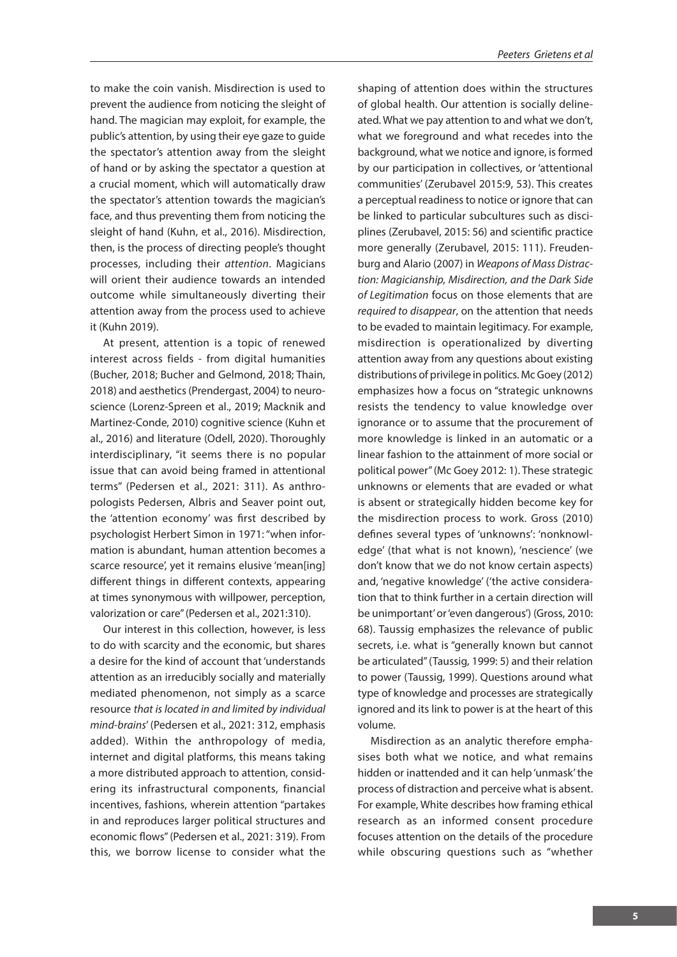to make the coin vanish. Misdirection is used to prevent the audience from noticing the sleight of hand. The magician may exploit, for example, the public's attention, by using their eye gaze to guide the spectator's attention away from the sleight of hand or by asking the spectator a question at a crucial moment, which will automatically draw the spectator's attention towards the magician's face, and thus preventing them from noticing the sleight of hand (Kuhn, et al., 2016). Misdirection, then, is the process of directing people's thought processes, including their *attention*. Magicians will orient their audience towards an intended outcome while simultaneously diverting their attention away from the process used to achieve it (Kuhn 2019).

At present, attention is a topic of renewed interest across fields - from digital humanities (Bucher, 2018; Bucher and Gelmond, 2018; Thain, 2018) and aesthetics (Prendergast, 2004) to neuroscience (Lorenz-Spreen et al., 2019; Macknik and Martinez-Conde, 2010) cognitive science (Kuhn et al., 2016) and literature (Odell, 2020). Thoroughly interdisciplinary, "it seems there is no popular issue that can avoid being framed in attentional terms" (Pedersen et al., 2021: 311). As anthropologists Pedersen, Albris and Seaver point out, the 'attention economy' was first described by psychologist Herbert Simon in 1971: "when information is abundant, human attention becomes a scarce resource', yet it remains elusive 'mean[ing] different things in different contexts, appearing at times synonymous with willpower, perception, valorization or care" (Pedersen et al., 2021:310).

Our interest in this collection, however, is less to do with scarcity and the economic, but shares a desire for the kind of account that 'understands attention as an irreducibly socially and materially mediated phenomenon, not simply as a scarce resource *that is located in and limited by individual mind-brains*' (Pedersen et al., 2021: 312, emphasis added). Within the anthropology of media, internet and digital platforms, this means taking a more distributed approach to attention, considering its infrastructural components, financial incentives, fashions, wherein attention "partakes in and reproduces larger political structures and economic flows" (Pedersen et al., 2021: 319). From this, we borrow license to consider what the

shaping of attention does within the structures of global health. Our attention is socially delineated. What we pay attention to and what we don't, what we foreground and what recedes into the background, what we notice and ignore, is formed by our participation in collectives, or 'attentional communities' (Zerubavel 2015:9, 53). This creates a perceptual readiness to notice or ignore that can be linked to particular subcultures such as disciplines (Zerubavel, 2015: 56) and scientific practice more generally (Zerubavel, 2015: 111). Freudenburg and Alario (2007) in *Weapons of Mass Distraction: Magicianship, Misdirection, and the Dark Side of Legitimation* focus on those elements that are *required to disappear*, on the attention that needs to be evaded to maintain legitimacy. For example, misdirection is operationalized by diverting attention away from any questions about existing distributions of privilege in politics. Mc Goey (2012) emphasizes how a focus on "strategic unknowns resists the tendency to value knowledge over ignorance or to assume that the procurement of more knowledge is linked in an automatic or a linear fashion to the attainment of more social or political power" (Mc Goey 2012: 1). These strategic unknowns or elements that are evaded or what is absent or strategically hidden become key for the misdirection process to work. Gross (2010) defines several types of 'unknowns': 'nonknowledge' (that what is not known), 'nescience' (we don't know that we do not know certain aspects) and, 'negative knowledge' ('the active consideration that to think further in a certain direction will be unimportant' or 'even dangerous') (Gross, 2010: 68). Taussig emphasizes the relevance of public secrets, i.e. what is "generally known but cannot be articulated" (Taussig, 1999: 5) and their relation to power (Taussig, 1999). Questions around what type of knowledge and processes are strategically ignored and its link to power is at the heart of this volume.

Misdirection as an analytic therefore emphasises both what we notice, and what remains hidden or inattended and it can help 'unmask' the process of distraction and perceive what is absent. For example, White describes how framing ethical research as an informed consent procedure focuses attention on the details of the procedure while obscuring questions such as "whether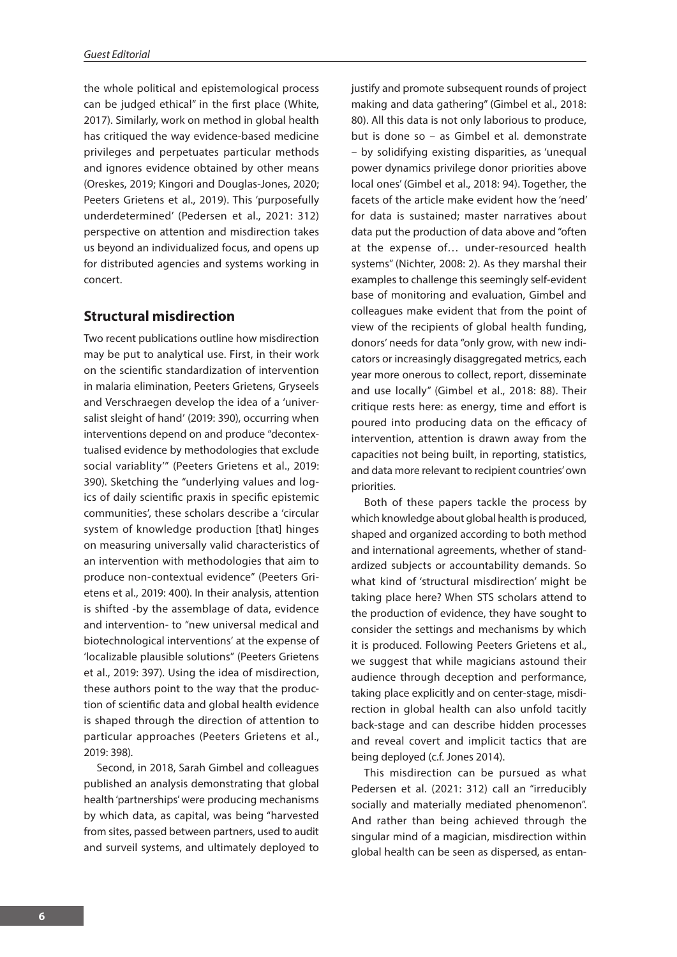the whole political and epistemological process can be judged ethical" in the first place (White, 2017). Similarly, work on method in global health has critiqued the way evidence-based medicine privileges and perpetuates particular methods and ignores evidence obtained by other means (Oreskes, 2019; Kingori and Douglas-Jones, 2020; Peeters Grietens et al., 2019). This 'purposefully underdetermined' (Pedersen et al., 2021: 312) perspective on attention and misdirection takes us beyond an individualized focus, and opens up for distributed agencies and systems working in concert.

# **Structural misdirection**

Two recent publications outline how misdirection may be put to analytical use. First, in their work on the scientific standardization of intervention in malaria elimination, Peeters Grietens, Gryseels and Verschraegen develop the idea of a 'universalist sleight of hand' (2019: 390), occurring when interventions depend on and produce "decontextualised evidence by methodologies that exclude social variablity'" (Peeters Grietens et al., 2019: 390). Sketching the "underlying values and logics of daily scientific praxis in specific epistemic communities', these scholars describe a 'circular system of knowledge production [that] hinges on measuring universally valid characteristics of an intervention with methodologies that aim to produce non-contextual evidence" (Peeters Grietens et al., 2019: 400). In their analysis, attention is shifted -by the assemblage of data, evidence and intervention- to "new universal medical and biotechnological interventions' at the expense of 'localizable plausible solutions" (Peeters Grietens et al., 2019: 397). Using the idea of misdirection, these authors point to the way that the production of scientific data and global health evidence is shaped through the direction of attention to particular approaches (Peeters Grietens et al., 2019: 398).

Second, in 2018, Sarah Gimbel and colleagues published an analysis demonstrating that global health 'partnerships' were producing mechanisms by which data, as capital, was being "harvested from sites, passed between partners, used to audit and surveil systems, and ultimately deployed to justify and promote subsequent rounds of project making and data gathering" (Gimbel et al., 2018: 80). All this data is not only laborious to produce, but is done so – as Gimbel et al*.* demonstrate – by solidifying existing disparities, as 'unequal power dynamics privilege donor priorities above local ones' (Gimbel et al., 2018: 94). Together, the facets of the article make evident how the 'need' for data is sustained; master narratives about data put the production of data above and "often at the expense of… under-resourced health systems" (Nichter, 2008: 2). As they marshal their examples to challenge this seemingly self-evident base of monitoring and evaluation, Gimbel and colleagues make evident that from the point of view of the recipients of global health funding, donors' needs for data "only grow, with new indicators or increasingly disaggregated metrics, each year more onerous to collect, report, disseminate and use locally" (Gimbel et al., 2018: 88). Their critique rests here: as energy, time and effort is poured into producing data on the efficacy of intervention, attention is drawn away from the capacities not being built, in reporting, statistics, and data more relevant to recipient countries' own priorities.

Both of these papers tackle the process by which knowledge about global health is produced, shaped and organized according to both method and international agreements, whether of standardized subjects or accountability demands. So what kind of 'structural misdirection' might be taking place here? When STS scholars attend to the production of evidence, they have sought to consider the settings and mechanisms by which it is produced. Following Peeters Grietens et al., we suggest that while magicians astound their audience through deception and performance, taking place explicitly and on center-stage, misdirection in global health can also unfold tacitly back-stage and can describe hidden processes and reveal covert and implicit tactics that are being deployed (c.f. Jones 2014).

This misdirection can be pursued as what Pedersen et al. (2021: 312) call an "irreducibly socially and materially mediated phenomenon". And rather than being achieved through the singular mind of a magician, misdirection within global health can be seen as dispersed, as entan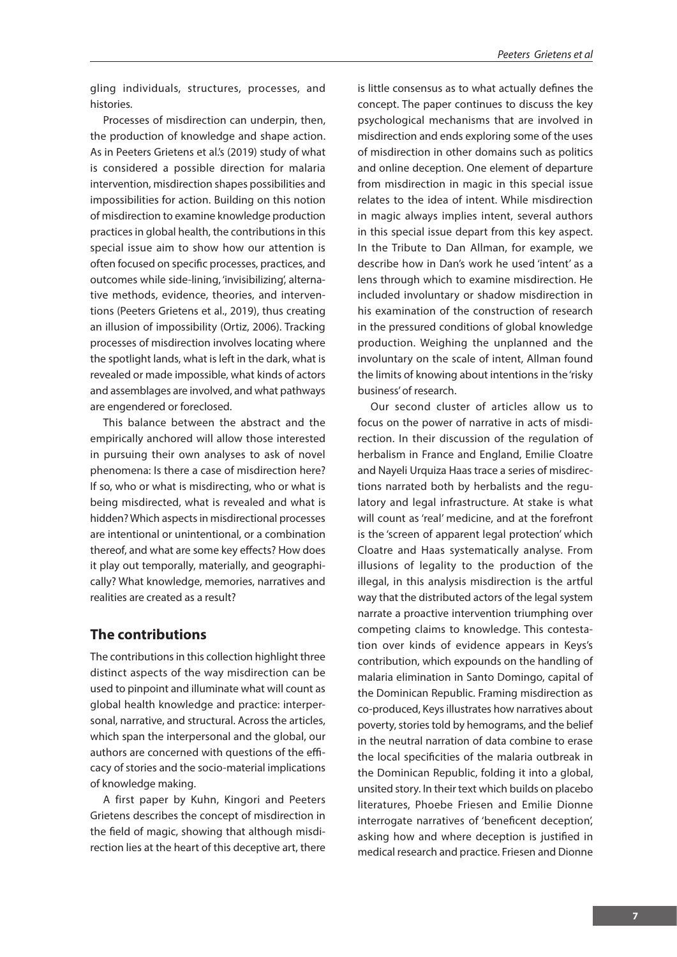gling individuals, structures, processes, and histories.

Processes of misdirection can underpin, then, the production of knowledge and shape action. As in Peeters Grietens et al.'s (2019) study of what is considered a possible direction for malaria intervention, misdirection shapes possibilities and impossibilities for action. Building on this notion of misdirection to examine knowledge production practices in global health, the contributions in this special issue aim to show how our attention is often focused on specific processes, practices, and outcomes while side-lining, 'invisibilizing', alternative methods, evidence, theories, and interventions (Peeters Grietens et al., 2019), thus creating an illusion of impossibility (Ortiz, 2006). Tracking processes of misdirection involves locating where the spotlight lands, what is left in the dark, what is revealed or made impossible, what kinds of actors and assemblages are involved, and what pathways are engendered or foreclosed.

This balance between the abstract and the empirically anchored will allow those interested in pursuing their own analyses to ask of novel phenomena: Is there a case of misdirection here? If so, who or what is misdirecting, who or what is being misdirected, what is revealed and what is hidden? Which aspects in misdirectional processes are intentional or unintentional, or a combination thereof, and what are some key effects? How does it play out temporally, materially, and geographically? What knowledge, memories, narratives and realities are created as a result?

# **The contributions**

The contributions in this collection highlight three distinct aspects of the way misdirection can be used to pinpoint and illuminate what will count as global health knowledge and practice: interpersonal, narrative, and structural. Across the articles, which span the interpersonal and the global, our authors are concerned with questions of the efficacy of stories and the socio-material implications of knowledge making.

A first paper by Kuhn, Kingori and Peeters Grietens describes the concept of misdirection in the field of magic, showing that although misdirection lies at the heart of this deceptive art, there is little consensus as to what actually defines the concept. The paper continues to discuss the key psychological mechanisms that are involved in misdirection and ends exploring some of the uses of misdirection in other domains such as politics and online deception. One element of departure from misdirection in magic in this special issue relates to the idea of intent. While misdirection in magic always implies intent, several authors in this special issue depart from this key aspect. In the Tribute to Dan Allman, for example, we describe how in Dan's work he used 'intent' as a lens through which to examine misdirection. He included involuntary or shadow misdirection in his examination of the construction of research in the pressured conditions of global knowledge production. Weighing the unplanned and the involuntary on the scale of intent, Allman found the limits of knowing about intentions in the 'risky business' of research.

Our second cluster of articles allow us to focus on the power of narrative in acts of misdirection. In their discussion of the regulation of herbalism in France and England, Emilie Cloatre and Nayeli Urquiza Haas trace a series of misdirections narrated both by herbalists and the regulatory and legal infrastructure. At stake is what will count as 'real' medicine, and at the forefront is the 'screen of apparent legal protection' which Cloatre and Haas systematically analyse. From illusions of legality to the production of the illegal, in this analysis misdirection is the artful way that the distributed actors of the legal system narrate a proactive intervention triumphing over competing claims to knowledge. This contestation over kinds of evidence appears in Keys's contribution, which expounds on the handling of malaria elimination in Santo Domingo, capital of the Dominican Republic. Framing misdirection as co-produced, Keys illustrates how narratives about poverty, stories told by hemograms, and the belief in the neutral narration of data combine to erase the local specificities of the malaria outbreak in the Dominican Republic, folding it into a global, unsited story. In their text which builds on placebo literatures, Phoebe Friesen and Emilie Dionne interrogate narratives of 'beneficent deception', asking how and where deception is justified in medical research and practice. Friesen and Dionne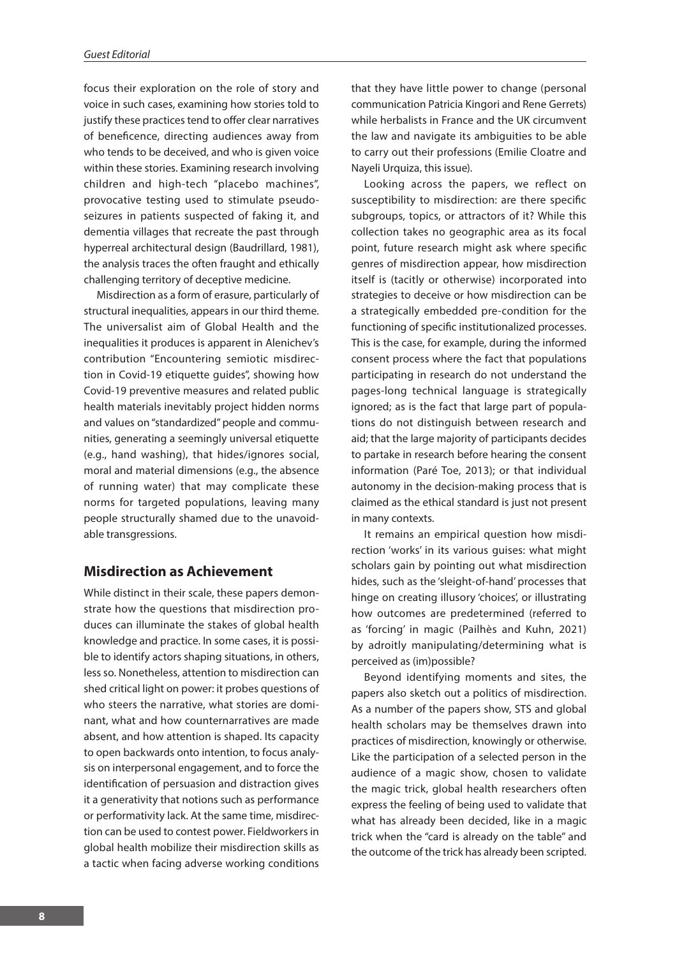focus their exploration on the role of story and voice in such cases, examining how stories told to justify these practices tend to offer clear narratives of beneficence, directing audiences away from who tends to be deceived, and who is given voice within these stories. Examining research involving children and high-tech "placebo machines", provocative testing used to stimulate pseudoseizures in patients suspected of faking it, and dementia villages that recreate the past through hyperreal architectural design (Baudrillard, 1981), the analysis traces the often fraught and ethically challenging territory of deceptive medicine.

Misdirection as a form of erasure, particularly of structural inequalities, appears in our third theme. The universalist aim of Global Health and the inequalities it produces is apparent in Alenichev's contribution "Encountering semiotic misdirection in Covid-19 etiquette guides", showing how Covid-19 preventive measures and related public health materials inevitably project hidden norms and values on "standardized" people and communities, generating a seemingly universal etiquette (e.g., hand washing), that hides/ignores social, moral and material dimensions (e.g., the absence of running water) that may complicate these norms for targeted populations, leaving many people structurally shamed due to the unavoidable transgressions.

# **Misdirection as Achievement**

While distinct in their scale, these papers demonstrate how the questions that misdirection produces can illuminate the stakes of global health knowledge and practice. In some cases, it is possible to identify actors shaping situations, in others, less so. Nonetheless, attention to misdirection can shed critical light on power: it probes questions of who steers the narrative, what stories are dominant, what and how counternarratives are made absent, and how attention is shaped. Its capacity to open backwards onto intention, to focus analysis on interpersonal engagement, and to force the identification of persuasion and distraction gives it a generativity that notions such as performance or performativity lack. At the same time, misdirection can be used to contest power. Fieldworkers in global health mobilize their misdirection skills as a tactic when facing adverse working conditions

that they have little power to change (personal communication Patricia Kingori and Rene Gerrets) while herbalists in France and the UK circumvent the law and navigate its ambiguities to be able to carry out their professions (Emilie Cloatre and Nayeli Urquiza, this issue).

Looking across the papers, we reflect on susceptibility to misdirection: are there specific subgroups, topics, or attractors of it? While this collection takes no geographic area as its focal point, future research might ask where specific genres of misdirection appear, how misdirection itself is (tacitly or otherwise) incorporated into strategies to deceive or how misdirection can be a strategically embedded pre-condition for the functioning of specific institutionalized processes. This is the case, for example, during the informed consent process where the fact that populations participating in research do not understand the pages-long technical language is strategically ignored; as is the fact that large part of populations do not distinguish between research and aid; that the large majority of participants decides to partake in research before hearing the consent information (Paré Toe, 2013); or that individual autonomy in the decision-making process that is claimed as the ethical standard is just not present in many contexts.

It remains an empirical question how misdirection 'works' in its various guises: what might scholars gain by pointing out what misdirection hides, such as the 'sleight-of-hand' processes that hinge on creating illusory 'choices', or illustrating how outcomes are predetermined (referred to as 'forcing' in magic (Pailhès and Kuhn, 2021) by adroitly manipulating/determining what is perceived as (im)possible?

Beyond identifying moments and sites, the papers also sketch out a politics of misdirection. As a number of the papers show, STS and global health scholars may be themselves drawn into practices of misdirection, knowingly or otherwise. Like the participation of a selected person in the audience of a magic show, chosen to validate the magic trick, global health researchers often express the feeling of being used to validate that what has already been decided, like in a magic trick when the "card is already on the table" and the outcome of the trick has already been scripted.

**8**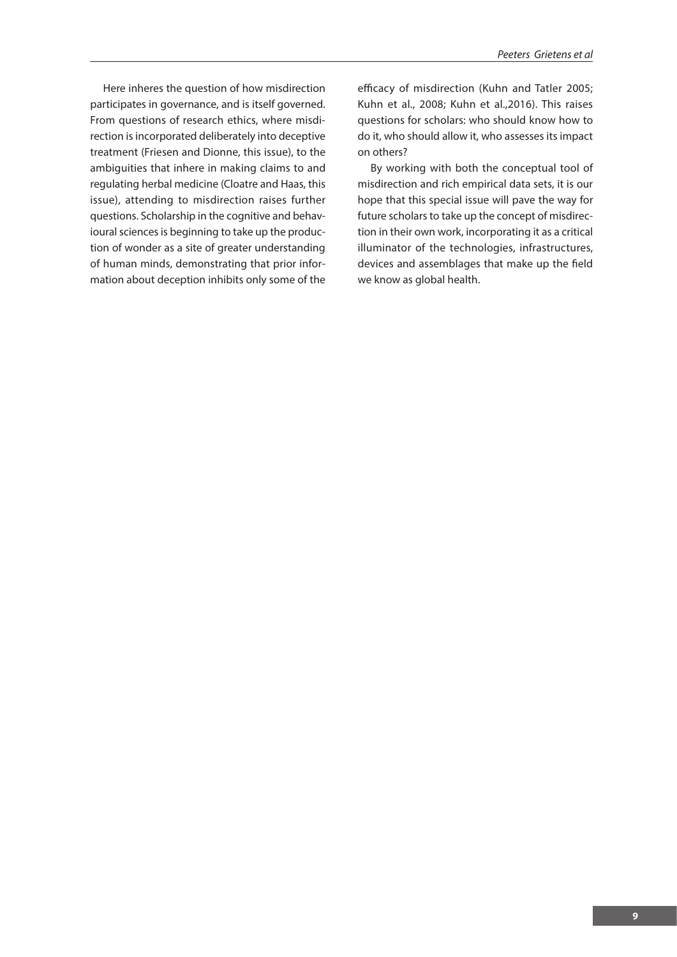Here inheres the question of how misdirection participates in governance, and is itself governed. From questions of research ethics, where misdirection is incorporated deliberately into deceptive treatment (Friesen and Dionne, this issue), to the ambiguities that inhere in making claims to and regulating herbal medicine (Cloatre and Haas, this issue), attending to misdirection raises further questions. Scholarship in the cognitive and behavioural sciences is beginning to take up the production of wonder as a site of greater understanding of human minds, demonstrating that prior information about deception inhibits only some of the

efficacy of misdirection (Kuhn and Tatler 2005; Kuhn et al., 2008; Kuhn et al.,2016). This raises questions for scholars: who should know how to do it, who should allow it, who assesses its impact on others?

By working with both the conceptual tool of misdirection and rich empirical data sets, it is our hope that this special issue will pave the way for future scholars to take up the concept of misdirection in their own work, incorporating it as a critical illuminator of the technologies, infrastructures, devices and assemblages that make up the field we know as global health.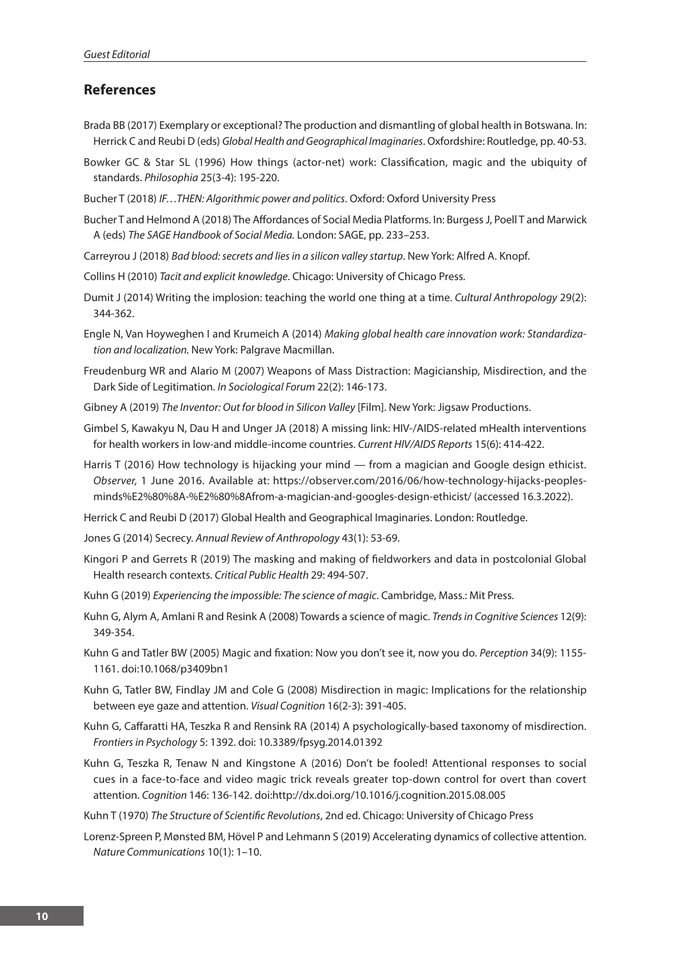# **References**

- Brada BB (2017) Exemplary or exceptional? The production and dismantling of global health in Botswana. In: Herrick C and Reubi D (eds) *Global Health and Geographical Imaginaries*. Oxfordshire: Routledge, pp. 40-53.
- Bowker GC & Star SL (1996) How things (actor-net) work: Classification, magic and the ubiquity of standards. *Philosophia* 25(3-4): 195-220.
- Bucher T (2018) *IF…THEN: Algorithmic power and politics*. Oxford: Oxford University Press
- Bucher T and Helmond A (2018) The Affordances of Social Media Platforms. In: Burgess J, Poell T and Marwick A (eds) *The SAGE Handbook of Social Media.* London: SAGE, pp. 233–253.
- Carreyrou J (2018) *Bad blood: secrets and lies in a silicon valley startup*. New York: Alfred A. Knopf.
- Collins H (2010) *Tacit and explicit knowledge*. Chicago: University of Chicago Press.
- Dumit J (2014) Writing the implosion: teaching the world one thing at a time. *Cultural Anthropology* 29(2): 344-362.
- Engle N, Van Hoyweghen I and Krumeich A (2014) *Making global health care innovation work: Standardization and localization.* New York: Palgrave Macmillan.
- Freudenburg WR and Alario M (2007) Weapons of Mass Distraction: Magicianship, Misdirection, and the Dark Side of Legitimation. *In Sociological Forum* 22(2): 146-173.
- Gibney A (2019) *The Inventor: Out for blood in Silicon Valley* [Film]. New York: Jigsaw Productions.
- Gimbel S, Kawakyu N, Dau H and Unger JA (2018) A missing link: HIV-/AIDS-related mHealth interventions for health workers in low-and middle-income countries. *Current HIV/AIDS Reports* 15(6): 414-422.
- Harris T (2016) How technology is hijacking your mind from a magician and Google design ethicist. *Observer,* 1 June 2016. Available at: https://observer.com/2016/06/how-technology-hijacks-peoplesminds%E2%80%8A-%E2%80%8Afrom-a-magician-and-googles-design-ethicist/ (accessed 16.3.2022).
- Herrick C and Reubi D (2017) Global Health and Geographical Imaginaries. London: Routledge.
- Jones G (2014) Secrecy. *Annual Review of Anthropology* 43(1): 53-69.
- Kingori P and Gerrets R (2019) The masking and making of fieldworkers and data in postcolonial Global Health research contexts. *Critical Public Health* 29: 494-507.
- Kuhn G (2019) *Experiencing the impossible: The science of magic*. Cambridge, Mass.: Mit Press.
- Kuhn G, Alym A, Amlani R and Resink A (2008) Towards a science of magic. *Trends in Cognitive Sciences* 12(9): 349-354.
- Kuhn G and Tatler BW (2005) Magic and fixation: Now you don't see it, now you do. *Perception* 34(9): 1155- 1161. doi:10.1068/p3409bn1
- Kuhn G, Tatler BW, Findlay JM and Cole G (2008) Misdirection in magic: Implications for the relationship between eye gaze and attention. *Visual Cognition* 16(2-3): 391-405.
- Kuhn G, Caffaratti HA, Teszka R and Rensink RA (2014) A psychologically-based taxonomy of misdirection. *Frontiers in Psychology* 5: 1392. doi: 10.3389/fpsyg.2014.01392
- Kuhn G, Teszka R, Tenaw N and Kingstone A (2016) Don't be fooled! Attentional responses to social cues in a face-to-face and video magic trick reveals greater top-down control for overt than covert attention. *Cognition* 146: 136-142. doi:http://dx.doi.org/10.1016/j.cognition.2015.08.005
- Kuhn T (1970) *The Structure of Scientific Revolutions*, 2nd ed. Chicago: University of Chicago Press
- Lorenz-Spreen P, Mønsted BM, Hövel P and Lehmann S (2019) Accelerating dynamics of collective attention. *Nature Communications* 10(1): 1–10.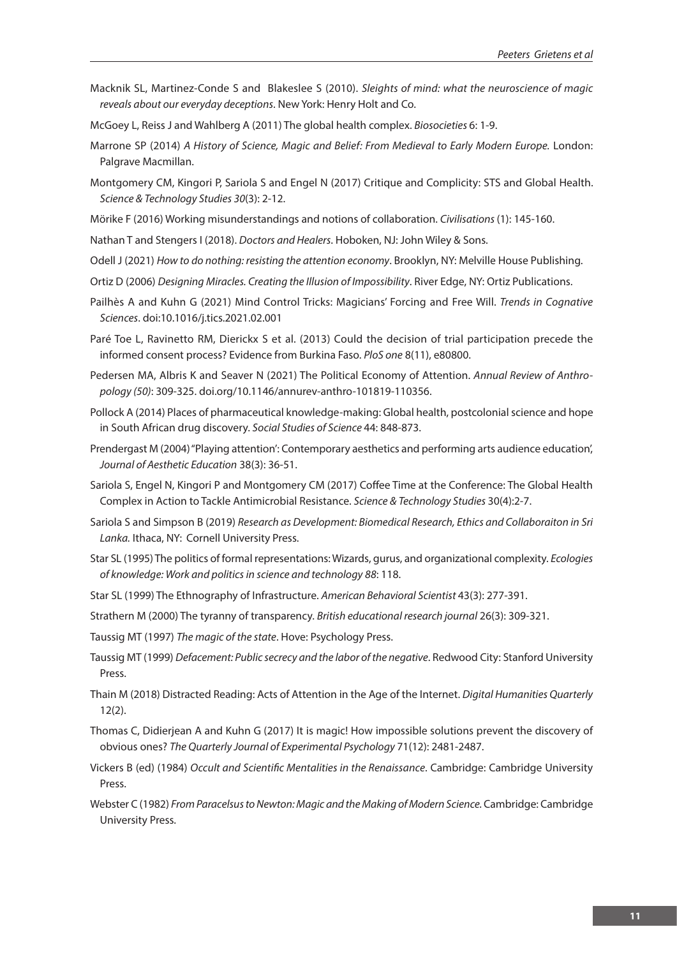- Macknik SL, Martinez-Conde S and Blakeslee S (2010). *Sleights of mind: what the neuroscience of magic reveals about our everyday deceptions*. New York: Henry Holt and Co.
- McGoey L, Reiss J and Wahlberg A (2011) The global health complex. *Biosocieties* 6: 1-9.
- Marrone SP (2014) *A History of Science, Magic and Belief: From Medieval to Early Modern Europe.* London: Palgrave Macmillan.
- Montgomery CM, Kingori P, Sariola S and Engel N (2017) Critique and Complicity: STS and Global Health. *Science & Technology Studies 30*(3): 2-12.
- Mörike F (2016) Working misunderstandings and notions of collaboration. *Civilisations* (1): 145-160.
- Nathan T and Stengers I (2018). *Doctors and Healers*. Hoboken, NJ: John Wiley & Sons.
- Odell J (2021) *How to do nothing: resisting the attention economy*. Brooklyn, NY: Melville House Publishing.
- Ortiz D (2006) *Designing Miracles. Creating the Illusion of Impossibility*. River Edge, NY: Ortiz Publications.
- Pailhès A and Kuhn G (2021) Mind Control Tricks: Magicians' Forcing and Free Will. *Trends in Cognative Sciences*. doi:10.1016/j.tics.2021.02.001
- Paré Toe L, Ravinetto RM, Dierickx S et al. (2013) Could the decision of trial participation precede the informed consent process? Evidence from Burkina Faso. *PloS one* 8(11), e80800.
- Pedersen MA, Albris K and Seaver N (2021) The Political Economy of Attention. *Annual Review of Anthropology (50)*: 309-325. doi.org/10.1146/annurev-anthro-101819-110356.
- Pollock A (2014) Places of pharmaceutical knowledge-making: Global health, postcolonial science and hope in South African drug discovery. *Social Studies of Science* 44: 848-873.
- Prendergast M (2004) "Playing attention': Contemporary aesthetics and performing arts audience education', *Journal of Aesthetic Education* 38(3): 36-51.
- Sariola S, Engel N, Kingori P and Montgomery CM (2017) Coffee Time at the Conference: The Global Health Complex in Action to Tackle Antimicrobial Resistance. *Science & Technology Studies* 30(4):2-7.
- Sariola S and Simpson B (2019) *Research as Development: Biomedical Research, Ethics and Collaboraiton in Sri Lanka.* Ithaca, NY: Cornell University Press.
- Star SL (1995) The politics of formal representations: Wizards, gurus, and organizational complexity. *Ecologies of knowledge: Work and politics in science and technology 88*: 118.
- Star SL (1999) The Ethnography of Infrastructure. *American Behavioral Scientist* 43(3): 277-391.
- Strathern M (2000) The tyranny of transparency. *British educational research journal* 26(3): 309-321.
- Taussig MT (1997) *The magic of the state*. Hove: Psychology Press.
- Taussig MT (1999) *Defacement: Public secrecy and the labor of the negative*. Redwood City: Stanford University Press.
- Thain M (2018) Distracted Reading: Acts of Attention in the Age of the Internet. *Digital Humanities Quarterly* 12(2).
- Thomas C, Didierjean A and Kuhn G (2017) It is magic! How impossible solutions prevent the discovery of obvious ones? *The Quarterly Journal of Experimental Psychology* 71(12): 2481-2487.
- Vickers B (ed) (1984) *Occult and Scientific Mentalities in the Renaissance*. Cambridge: Cambridge University **Press**
- Webster C (1982) *From Paracelsus to Newton: Magic and the Making of Modern Science.* Cambridge: Cambridge University Press.